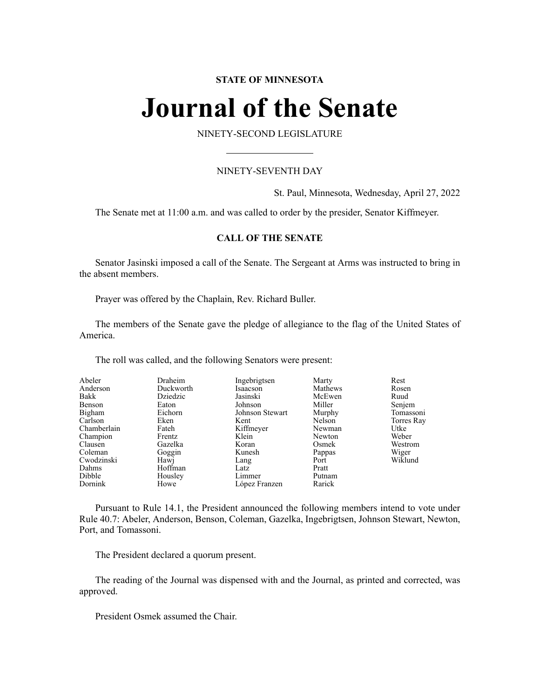# **STATE OF MINNESOTA**

# **Journal of the Senate**

NINETY-SECOND LEGISLATURE

# NINETY-SEVENTH DAY

St. Paul, Minnesota, Wednesday, April 27, 2022

The Senate met at 11:00 a.m. and was called to order by the presider, Senator Kiffmeyer.

# **CALL OF THE SENATE**

Senator Jasinski imposed a call of the Senate. The Sergeant at Arms was instructed to bring in the absent members.

Prayer was offered by the Chaplain, Rev. Richard Buller.

The members of the Senate gave the pledge of allegiance to the flag of the United States of America.

The roll was called, and the following Senators were present:

| Abeler      | Draheim   | Ingebrigtsen    | Marty   | Rest       |
|-------------|-----------|-----------------|---------|------------|
| Anderson    | Duckworth | Isaacson        | Mathews | Rosen      |
| Bakk        | Dziedzic  | Jasinski        | McEwen  | Ruud       |
| Benson      | Eaton     | Johnson         | Miller  | Senjem     |
| Bigham      | Eichorn   | Johnson Stewart | Murphy  | Tomassoni  |
| Carlson     | Eken      | Kent            | Nelson  | Torres Ray |
| Chamberlain | Fateh     | Kiffmeyer       | Newman  | Utke       |
| Champion    | Frentz    | Klein           | Newton  | Weber      |
| Clausen     | Gazelka   | Koran           | Osmek   | Westrom    |
| Coleman     | Goggin    | Kunesh          | Pappas  | Wiger      |
| Cwodzinski  | Hawj      | Lang            | Port    | Wiklund    |
| Dahms       | Hoffman   | Latz            | Pratt   |            |
| Dibble      | Housley   | Limmer          | Putnam  |            |
| Dornink     | Howe      | López Franzen   | Rarick  |            |

Pursuant to Rule 14.1, the President announced the following members intend to vote under Rule 40.7: Abeler, Anderson, Benson, Coleman, Gazelka, Ingebrigtsen, Johnson Stewart, Newton, Port, and Tomassoni.

The President declared a quorum present.

The reading of the Journal was dispensed with and the Journal, as printed and corrected, was approved.

President Osmek assumed the Chair.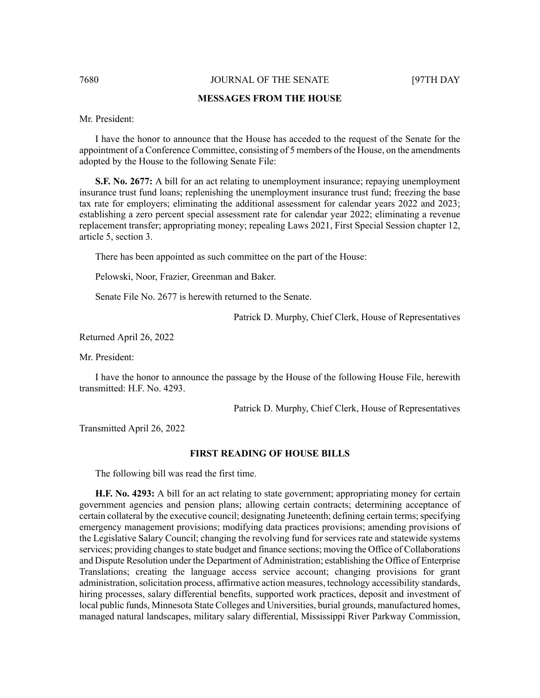#### 7680 JOURNAL OF THE SENATE [97TH DAY

### **MESSAGES FROM THE HOUSE**

Mr. President:

I have the honor to announce that the House has acceded to the request of the Senate for the appointment of a Conference Committee, consisting of 5 members of the House, on the amendments adopted by the House to the following Senate File:

**S.F. No. 2677:** A bill for an act relating to unemployment insurance; repaying unemployment insurance trust fund loans; replenishing the unemployment insurance trust fund; freezing the base tax rate for employers; eliminating the additional assessment for calendar years 2022 and 2023; establishing a zero percent special assessment rate for calendar year 2022; eliminating a revenue replacement transfer; appropriating money; repealing Laws 2021, First Special Session chapter 12, article 5, section 3.

There has been appointed as such committee on the part of the House:

Pelowski, Noor, Frazier, Greenman and Baker.

Senate File No. 2677 is herewith returned to the Senate.

Patrick D. Murphy, Chief Clerk, House of Representatives

Returned April 26, 2022

Mr. President:

I have the honor to announce the passage by the House of the following House File, herewith transmitted: H.F. No. 4293.

Patrick D. Murphy, Chief Clerk, House of Representatives

Transmitted April 26, 2022

#### **FIRST READING OF HOUSE BILLS**

The following bill was read the first time.

**H.F. No. 4293:** A bill for an act relating to state government; appropriating money for certain government agencies and pension plans; allowing certain contracts; determining acceptance of certain collateral by the executive council; designating Juneteenth; defining certain terms; specifying emergency management provisions; modifying data practices provisions; amending provisions of the Legislative Salary Council; changing the revolving fund for services rate and statewide systems services; providing changes to state budget and finance sections; moving the Office of Collaborations and Dispute Resolution under the Department of Administration; establishing the Office of Enterprise Translations; creating the language access service account; changing provisions for grant administration, solicitation process, affirmative action measures, technology accessibility standards, hiring processes, salary differential benefits, supported work practices, deposit and investment of local public funds, Minnesota State Colleges and Universities, burial grounds, manufactured homes, managed natural landscapes, military salary differential, Mississippi River Parkway Commission,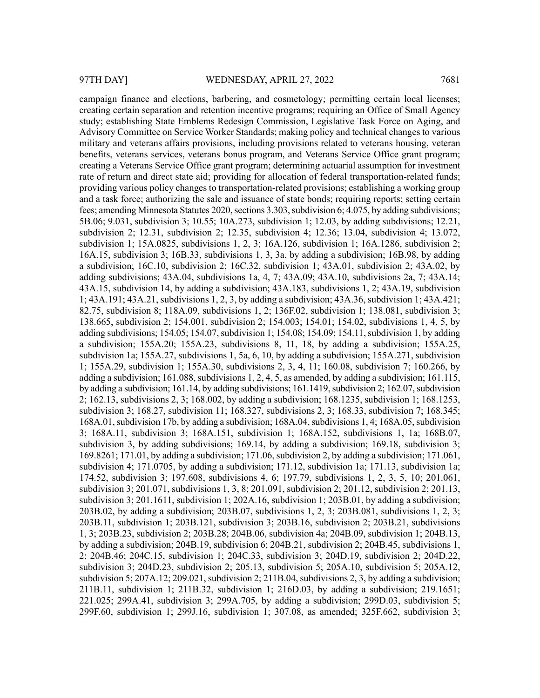campaign finance and elections, barbering, and cosmetology; permitting certain local licenses; creating certain separation and retention incentive programs; requiring an Office of Small Agency study; establishing State Emblems Redesign Commission, Legislative Task Force on Aging, and Advisory Committee on Service Worker Standards; making policy and technical changes to various military and veterans affairs provisions, including provisions related to veterans housing, veteran benefits, veterans services, veterans bonus program, and Veterans Service Office grant program; creating a Veterans Service Office grant program; determining actuarial assumption for investment rate of return and direct state aid; providing for allocation of federal transportation-related funds; providing various policy changes to transportation-related provisions; establishing a working group and a task force; authorizing the sale and issuance of state bonds; requiring reports; setting certain fees; amending Minnesota Statutes 2020, sections  $3.303$ , subdivision 6;  $4.075$ , by adding subdivisions; 5B.06; 9.031, subdivision 3; 10.55; 10A.273, subdivision 1; 12.03, by adding subdivisions; 12.21, subdivision 2; 12.31, subdivision 2; 12.35, subdivision 4; 12.36; 13.04, subdivision 4; 13.072, subdivision 1; 15A.0825, subdivisions 1, 2, 3; 16A.126, subdivision 1; 16A.1286, subdivision 2; 16A.15, subdivision 3; 16B.33, subdivisions 1, 3, 3a, by adding a subdivision; 16B.98, by adding a subdivision; 16C.10, subdivision 2; 16C.32, subdivision 1; 43A.01, subdivision 2; 43A.02, by adding subdivisions; 43A.04, subdivisions 1a, 4, 7; 43A.09; 43A.10, subdivisions 2a, 7; 43A.14; 43A.15, subdivision 14, by adding a subdivision; 43A.183, subdivisions 1, 2; 43A.19, subdivision 1; 43A.191; 43A.21, subdivisions 1, 2, 3, by adding a subdivision; 43A.36, subdivision 1; 43A.421; 82.75, subdivision 8; 118A.09, subdivisions 1, 2; 136F.02, subdivision 1; 138.081, subdivision 3; 138.665, subdivision 2; 154.001, subdivision 2; 154.003; 154.01; 154.02, subdivisions 1, 4, 5, by adding subdivisions; 154.05; 154.07, subdivision 1; 154.08; 154.09; 154.11, subdivision 1, by adding a subdivision; 155A.20; 155A.23, subdivisions 8, 11, 18, by adding a subdivision; 155A.25, subdivision 1a; 155A.27, subdivisions 1, 5a, 6, 10, by adding a subdivision; 155A.271, subdivision 1; 155A.29, subdivision 1; 155A.30, subdivisions 2, 3, 4, 11; 160.08, subdivision 7; 160.266, by adding a subdivision; 161.088, subdivisions  $1, 2, 4, 5$ , as amended, by adding a subdivision; 161.115, by adding a subdivision; 161.14, by adding subdivisions; 161.1419, subdivision 2; 162.07, subdivision 2; 162.13, subdivisions 2, 3; 168.002, by adding a subdivision; 168.1235, subdivision 1; 168.1253, subdivision 3; 168.27, subdivision 11; 168.327, subdivisions 2, 3; 168.33, subdivision 7; 168.345; 168A.01, subdivision 17b, by adding a subdivision; 168A.04, subdivisions 1, 4; 168A.05, subdivision 3; 168A.11, subdivision 3; 168A.151, subdivision 1; 168A.152, subdivisions 1, 1a; 168B.07, subdivision 3, by adding subdivisions; 169.14, by adding a subdivision; 169.18, subdivision 3; 169.8261; 171.01, by adding a subdivision; 171.06, subdivision 2, by adding a subdivision; 171.061, subdivision 4; 171.0705, by adding a subdivision; 171.12, subdivision 1a; 171.13, subdivision 1a; 174.52, subdivision 3; 197.608, subdivisions 4, 6; 197.79, subdivisions 1, 2, 3, 5, 10; 201.061, subdivision 3; 201.071, subdivisions 1, 3, 8; 201.091, subdivision 2; 201.12, subdivision 2; 201.13, subdivision 3; 201.1611, subdivision 1; 202A.16, subdivision 1; 203B.01, by adding a subdivision; 203B.02, by adding a subdivision; 203B.07, subdivisions 1, 2, 3; 203B.081, subdivisions 1, 2, 3; 203B.11, subdivision 1; 203B.121, subdivision 3; 203B.16, subdivision 2; 203B.21, subdivisions 1, 3; 203B.23, subdivision 2; 203B.28; 204B.06, subdivision 4a; 204B.09, subdivision 1; 204B.13, by adding a subdivision; 204B.19, subdivision 6; 204B.21, subdivision 2; 204B.45, subdivisions 1, 2; 204B.46; 204C.15, subdivision 1; 204C.33, subdivision 3; 204D.19, subdivision 2; 204D.22, subdivision 3; 204D.23, subdivision 2; 205.13, subdivision 5; 205A.10, subdivision 5; 205A.12, subdivision 5;  $207A.12$ ;  $209.021$ , subdivision 2;  $211B.04$ , subdivisions 2, 3, by adding a subdivision; 211B.11, subdivision 1; 211B.32, subdivision 1; 216D.03, by adding a subdivision; 219.1651; 221.025; 299A.41, subdivision 3; 299A.705, by adding a subdivision; 299D.03, subdivision 5; 299F.60, subdivision 1; 299J.16, subdivision 1; 307.08, as amended; 325F.662, subdivision 3;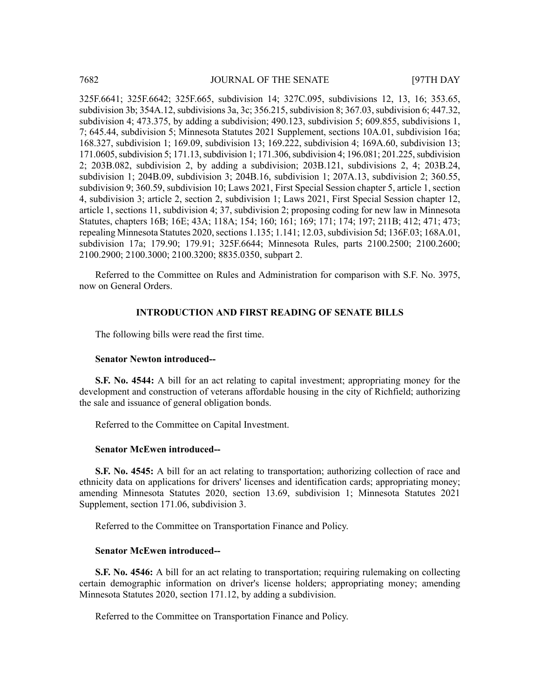325F.6641; 325F.6642; 325F.665, subdivision 14; 327C.095, subdivisions 12, 13, 16; 353.65, subdivision 3b; 354A.12, subdivisions 3a, 3c; 356.215, subdivision 8; 367.03, subdivision 6; 447.32, subdivision 4; 473.375, by adding a subdivision; 490.123, subdivision 5; 609.855, subdivisions 1, 7; 645.44, subdivision 5; Minnesota Statutes 2021 Supplement, sections 10A.01, subdivision 16a; 168.327, subdivision 1; 169.09, subdivision 13; 169.222, subdivision 4; 169A.60, subdivision 13; 171.0605, subdivision 5; 171.13, subdivision 1; 171.306, subdivision 4; 196.081; 201.225, subdivision 2; 203B.082, subdivision 2, by adding a subdivision; 203B.121, subdivisions 2, 4; 203B.24, subdivision 1; 204B.09, subdivision 3; 204B.16, subdivision 1; 207A.13, subdivision 2; 360.55, subdivision 9; 360.59, subdivision 10; Laws 2021, First Special Session chapter 5, article 1, section 4, subdivision 3; article 2, section 2, subdivision 1; Laws 2021, First Special Session chapter 12, article 1, sections 11, subdivision 4; 37, subdivision 2; proposing coding for new law in Minnesota Statutes, chapters 16B; 16E; 43A; 118A; 154; 160; 161; 169; 171; 174; 197; 211B; 412; 471; 473; repealing Minnesota Statutes 2020, sections 1.135; 1.141; 12.03, subdivision 5d; 136F.03; 168A.01, subdivision 17a; 179.90; 179.91; 325F.6644; Minnesota Rules, parts 2100.2500; 2100.2600; 2100.2900; 2100.3000; 2100.3200; 8835.0350, subpart 2.

Referred to the Committee on Rules and Administration for comparison with S.F. No. 3975, now on General Orders.

## **INTRODUCTION AND FIRST READING OF SENATE BILLS**

The following bills were read the first time.

### **Senator Newton introduced--**

**S.F. No. 4544:** A bill for an act relating to capital investment; appropriating money for the development and construction of veterans affordable housing in the city of Richfield; authorizing the sale and issuance of general obligation bonds.

Referred to the Committee on Capital Investment.

#### **Senator McEwen introduced--**

**S.F. No. 4545:** A bill for an act relating to transportation; authorizing collection of race and ethnicity data on applications for drivers' licenses and identification cards; appropriating money; amending Minnesota Statutes 2020, section 13.69, subdivision 1; Minnesota Statutes 2021 Supplement, section 171.06, subdivision 3.

Referred to the Committee on Transportation Finance and Policy.

#### **Senator McEwen introduced--**

**S.F.** No. 4546: A bill for an act relating to transportation; requiring rulemaking on collecting certain demographic information on driver's license holders; appropriating money; amending Minnesota Statutes 2020, section 171.12, by adding a subdivision.

Referred to the Committee on Transportation Finance and Policy.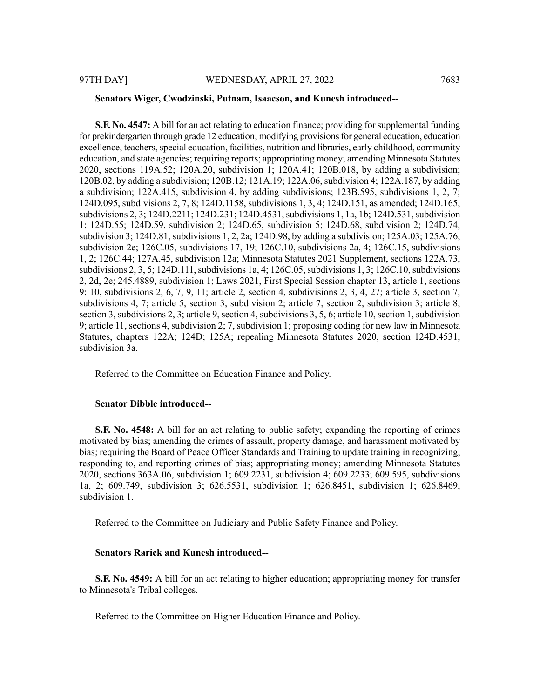#### **Senators Wiger, Cwodzinski, Putnam, Isaacson, and Kunesh introduced--**

**S.F. No. 4547:** A bill for an act relating to education finance; providing forsupplemental funding for prekindergarten through grade 12 education; modifying provisions for general education, education excellence, teachers, special education, facilities, nutrition and libraries, early childhood, community education, and state agencies; requiring reports; appropriating money; amending Minnesota Statutes 2020, sections 119A.52; 120A.20, subdivision 1; 120A.41; 120B.018, by adding a subdivision; 120B.02, by adding a subdivision; 120B.12; 121A.19; 122A.06,subdivision 4; 122A.187, by adding a subdivision; 122A.415, subdivision 4, by adding subdivisions; 123B.595, subdivisions 1, 2, 7; 124D.095, subdivisions 2, 7, 8; 124D.1158, subdivisions 1, 3, 4; 124D.151, as amended; 124D.165, subdivisions 2, 3; 124D.2211; 124D.231; 124D.4531, subdivisions 1, 1a, 1b; 124D.531, subdivision 1; 124D.55; 124D.59, subdivision 2; 124D.65, subdivision 5; 124D.68, subdivision 2; 124D.74, subdivision 3; 124D.81, subdivisions 1, 2, 2a; 124D.98, by adding a subdivision; 125A.03; 125A.76, subdivision 2e; 126C.05, subdivisions 17, 19; 126C.10, subdivisions 2a, 4; 126C.15, subdivisions 1, 2; 126C.44; 127A.45, subdivision 12a; Minnesota Statutes 2021 Supplement, sections 122A.73, subdivisions  $2, 3, 5$ ; 124D.111, subdivisions 1a, 4; 126C.05, subdivisions 1, 3; 126C.10, subdivisions 2, 2d, 2e; 245.4889, subdivision 1; Laws 2021, First Special Session chapter 13, article 1, sections 9; 10, subdivisions 2, 6, 7, 9, 11; article 2, section 4, subdivisions 2, 3, 4, 27; article 3, section 7, subdivisions 4, 7; article 5, section 3, subdivision 2; article 7, section 2, subdivision 3; article 8, section 3, subdivisions 2, 3; article 9, section 4, subdivisions 3, 5, 6; article 10, section 1, subdivision 9; article 11, sections 4, subdivision 2; 7, subdivision 1; proposing coding for new law in Minnesota Statutes, chapters 122A; 124D; 125A; repealing Minnesota Statutes 2020, section 124D.4531, subdivision 3a.

Referred to the Committee on Education Finance and Policy.

#### **Senator Dibble introduced--**

**S.F. No. 4548:** A bill for an act relating to public safety; expanding the reporting of crimes motivated by bias; amending the crimes of assault, property damage, and harassment motivated by bias; requiring the Board of Peace Officer Standards and Training to update training in recognizing, responding to, and reporting crimes of bias; appropriating money; amending Minnesota Statutes 2020, sections 363A.06, subdivision 1; 609.2231, subdivision 4; 609.2233; 609.595, subdivisions 1a, 2; 609.749, subdivision 3; 626.5531, subdivision 1; 626.8451, subdivision 1; 626.8469, subdivision 1.

Referred to the Committee on Judiciary and Public Safety Finance and Policy.

# **Senators Rarick and Kunesh introduced--**

**S.F. No. 4549:** A bill for an act relating to higher education; appropriating money for transfer to Minnesota's Tribal colleges.

Referred to the Committee on Higher Education Finance and Policy.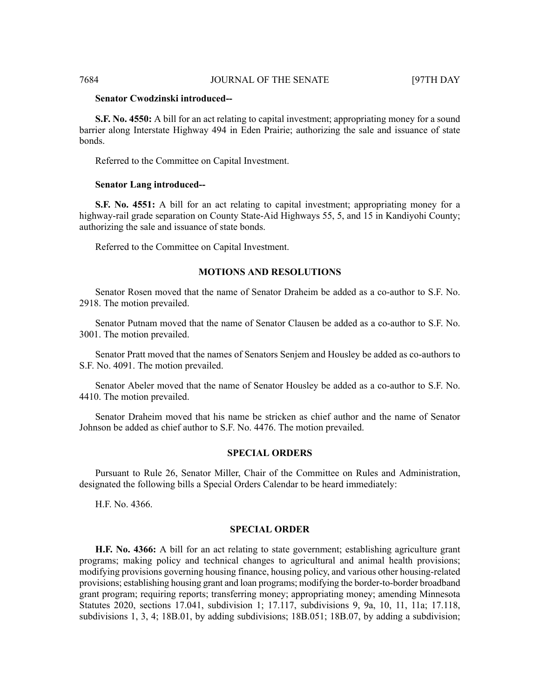### **Senator Cwodzinski introduced--**

**S.F. No. 4550:** A bill for an act relating to capital investment; appropriating money for a sound barrier along Interstate Highway 494 in Eden Prairie; authorizing the sale and issuance of state bonds.

Referred to the Committee on Capital Investment.

#### **Senator Lang introduced--**

**S.F. No. 4551:** A bill for an act relating to capital investment; appropriating money for a highway-rail grade separation on County State-Aid Highways 55, 5, and 15 in Kandiyohi County; authorizing the sale and issuance of state bonds.

Referred to the Committee on Capital Investment.

# **MOTIONS AND RESOLUTIONS**

Senator Rosen moved that the name of Senator Draheim be added as a co-author to S.F. No. 2918. The motion prevailed.

Senator Putnam moved that the name of Senator Clausen be added as a co-author to S.F. No. 3001. The motion prevailed.

Senator Pratt moved that the names of Senators Senjem and Housley be added as co-authors to S.F. No. 4091. The motion prevailed.

Senator Abeler moved that the name of Senator Housley be added as a co-author to S.F. No. 4410. The motion prevailed.

Senator Draheim moved that his name be stricken as chief author and the name of Senator Johnson be added as chief author to S.F. No. 4476. The motion prevailed.

#### **SPECIAL ORDERS**

Pursuant to Rule 26, Senator Miller, Chair of the Committee on Rules and Administration, designated the following bills a Special Orders Calendar to be heard immediately:

H.F. No. 4366.

# **SPECIAL ORDER**

**H.F. No. 4366:** A bill for an act relating to state government; establishing agriculture grant programs; making policy and technical changes to agricultural and animal health provisions; modifying provisions governing housing finance, housing policy, and various other housing-related provisions; establishing housing grant and loan programs; modifying the border-to-border broadband grant program; requiring reports; transferring money; appropriating money; amending Minnesota Statutes 2020, sections 17.041, subdivision 1; 17.117, subdivisions 9, 9a, 10, 11, 11a; 17.118, subdivisions 1, 3, 4; 18B.01, by adding subdivisions; 18B.051; 18B.07, by adding a subdivision;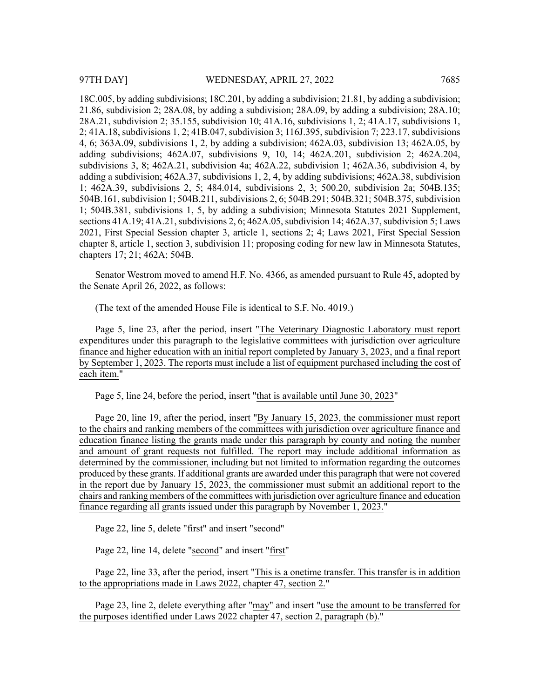28A.21, subdivision 2; 35.155, subdivision 10; 41A.16, subdivisions 1, 2; 41A.17, subdivisions 1, 2; 41A.18, subdivisions 1, 2; 41B.047, subdivision 3; 116J.395, subdivision 7; 223.17, subdivisions 4, 6; 363A.09, subdivisions 1, 2, by adding a subdivision; 462A.03, subdivision 13; 462A.05, by adding subdivisions; 462A.07, subdivisions 9, 10, 14; 462A.201, subdivision 2; 462A.204, subdivisions 3, 8; 462A.21, subdivision 4a; 462A.22, subdivision 1; 462A.36, subdivision 4, by adding a subdivision; 462A.37, subdivisions 1, 2, 4, by adding subdivisions; 462A.38, subdivision 1; 462A.39, subdivisions 2, 5; 484.014, subdivisions 2, 3; 500.20, subdivision 2a; 504B.135; 504B.161, subdivision 1; 504B.211, subdivisions 2, 6; 504B.291; 504B.321; 504B.375, subdivision 1; 504B.381, subdivisions 1, 5, by adding a subdivision; Minnesota Statutes 2021 Supplement, sections 41A.19; 41A.21, subdivisions 2, 6; 462A.05, subdivision 14; 462A.37, subdivision 5; Laws 2021, First Special Session chapter 3, article 1, sections 2; 4; Laws 2021, First Special Session chapter 8, article 1, section 3, subdivision 11; proposing coding for new law in Minnesota Statutes, chapters 17; 21; 462A; 504B.

Senator Westrom moved to amend H.F. No. 4366, as amended pursuant to Rule 45, adopted by the Senate April 26, 2022, as follows:

(The text of the amended House File is identical to S.F. No. 4019.)

Page 5, line 23, after the period, insert "The Veterinary Diagnostic Laboratory must report expenditures under this paragraph to the legislative committees with jurisdiction over agriculture finance and higher education with an initial report completed by January 3, 2023, and a final report by September 1, 2023. The reports must include a list of equipment purchased including the cost of each item."

Page 5, line 24, before the period, insert "that is available until June 30, 2023"

Page 20, line 19, after the period, insert "By January 15, 2023, the commissioner must report to the chairs and ranking members of the committees with jurisdiction over agriculture finance and education finance listing the grants made under this paragraph by county and noting the number and amount of grant requests not fulfilled. The report may include additional information as determined by the commissioner, including but not limited to information regarding the outcomes produced by these grants. If additional grants are awarded under this paragraph that were not covered in the report due by January 15, 2023, the commissioner must submit an additional report to the chairs and ranking members of the committees with jurisdiction over agriculture finance and education finance regarding all grants issued under this paragraph by November 1, 2023."

Page 22, line 5, delete "first" and insert "second"

Page 22, line 14, delete "second" and insert "first"

Page 22, line 33, after the period, insert "This is a onetime transfer. This transfer is in addition to the appropriations made in Laws 2022, chapter 47, section 2."

Page 23, line 2, delete everything after "may" and insert "use the amount to be transferred for the purposes identified under Laws 2022 chapter 47, section 2, paragraph (b)."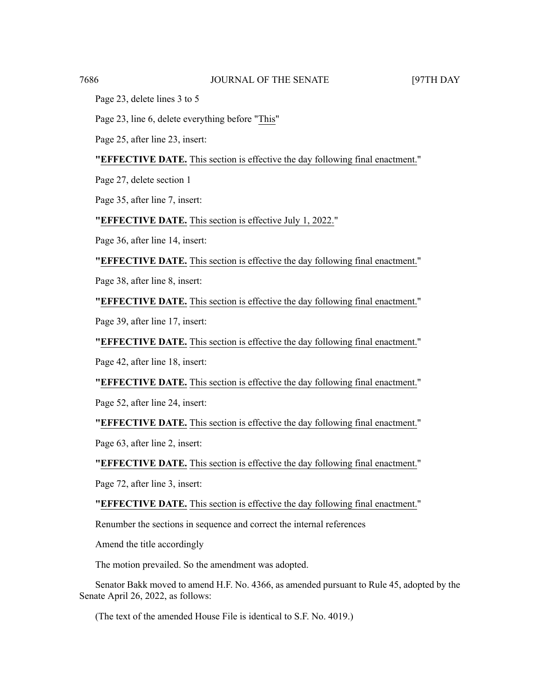Page 23, delete lines 3 to 5

Page 23, line 6, delete everything before "This"

Page 25, after line 23, insert:

**"EFFECTIVE DATE.** This section is effective the day following final enactment."

Page 27, delete section 1

Page 35, after line 7, insert:

**"EFFECTIVE DATE.** This section is effective July 1, 2022."

Page 36, after line 14, insert:

**"EFFECTIVE DATE.** This section is effective the day following final enactment."

Page 38, after line 8, insert:

**"EFFECTIVE DATE.** This section is effective the day following final enactment."

Page 39, after line 17, insert:

**"EFFECTIVE DATE.** This section is effective the day following final enactment."

Page 42, after line 18, insert:

**"EFFECTIVE DATE.** This section is effective the day following final enactment."

Page 52, after line 24, insert:

**"EFFECTIVE DATE.** This section is effective the day following final enactment."

Page 63, after line 2, insert:

**"EFFECTIVE DATE.** This section is effective the day following final enactment."

Page 72, after line 3, insert:

**"EFFECTIVE DATE.** This section is effective the day following final enactment."

Renumber the sections in sequence and correct the internal references

Amend the title accordingly

The motion prevailed. So the amendment was adopted.

Senator Bakk moved to amend H.F. No. 4366, as amended pursuant to Rule 45, adopted by the Senate April 26, 2022, as follows:

(The text of the amended House File is identical to S.F. No. 4019.)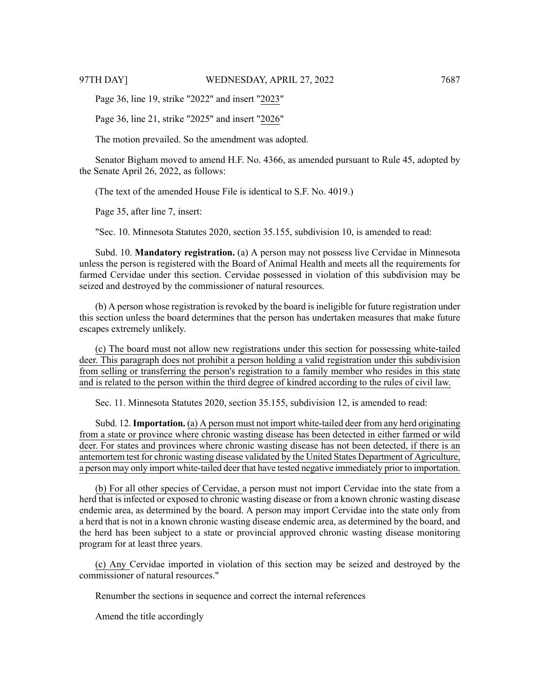Page 36, line 19, strike "2022" and insert "2023"

Page 36, line 21, strike "2025" and insert "2026"

The motion prevailed. So the amendment was adopted.

Senator Bigham moved to amend H.F. No. 4366, as amended pursuant to Rule 45, adopted by the Senate April 26, 2022, as follows:

(The text of the amended House File is identical to S.F. No. 4019.)

Page 35, after line 7, insert:

"Sec. 10. Minnesota Statutes 2020, section 35.155, subdivision 10, is amended to read:

Subd. 10. **Mandatory registration.** (a) A person may not possess live Cervidae in Minnesota unless the person is registered with the Board of Animal Health and meets all the requirements for farmed Cervidae under this section. Cervidae possessed in violation of this subdivision may be seized and destroyed by the commissioner of natural resources.

(b) A person whose registration is revoked by the board is ineligible for future registration under this section unless the board determines that the person has undertaken measures that make future escapes extremely unlikely.

(c) The board must not allow new registrations under this section for possessing white-tailed deer. This paragraph does not prohibit a person holding a valid registration under this subdivision from selling or transferring the person's registration to a family member who resides in this state and is related to the person within the third degree of kindred according to the rules of civil law.

Sec. 11. Minnesota Statutes 2020, section 35.155, subdivision 12, is amended to read:

Subd. 12.**Importation.** (a) A person must not import white-tailed deer from any herd originating from a state or province where chronic wasting disease has been detected in either farmed or wild deer. For states and provinces where chronic wasting disease has not been detected, if there is an antemortem test for chronic wasting disease validated by the United States Department of Agriculture, a person may only import white-tailed deer that have tested negative immediately prior to importation.

(b) For all other species of Cervidae, a person must not import Cervidae into the state from a herd that is infected or exposed to chronic wasting disease or from a known chronic wasting disease endemic area, as determined by the board. A person may import Cervidae into the state only from a herd that is not in a known chronic wasting disease endemic area, as determined by the board, and the herd has been subject to a state or provincial approved chronic wasting disease monitoring program for at least three years.

(c) Any Cervidae imported in violation of this section may be seized and destroyed by the commissioner of natural resources."

Renumber the sections in sequence and correct the internal references

Amend the title accordingly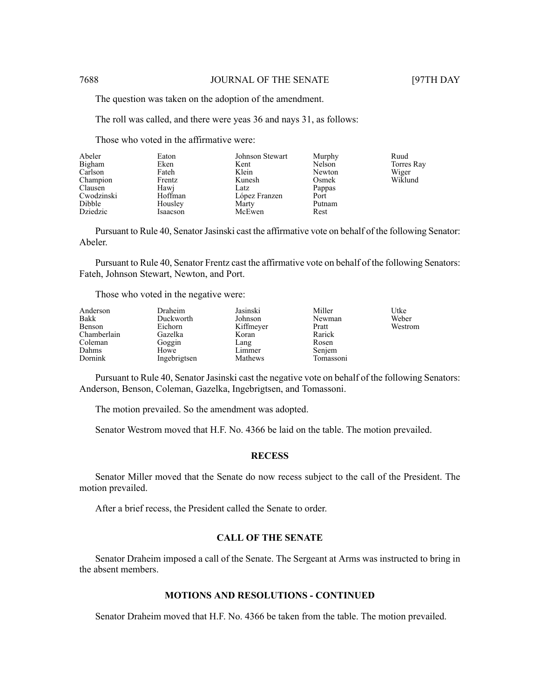The question was taken on the adoption of the amendment.

The roll was called, and there were yeas 36 and nays 31, as follows:

Those who voted in the affirmative were:

| Abeler     | Eaton    | Johnson Stewart | Murphy | Ruud       |
|------------|----------|-----------------|--------|------------|
| Bigham     | Eken     | Kent            | Nelson | Torres Ray |
| Carlson    | Fateh    | Klein           | Newton | Wiger      |
| Champion   | Frentz   | Kunesh          | Osmek  | Wiklund    |
| Clausen    | Hawi     | Latz            | Pappas |            |
| Cwodzinski | Hoffman  | López Franzen   | Port   |            |
| Dibble     | Housley  | Marty           | Putnam |            |
| Dziedzic   | Isaacson | McEwen          | Rest   |            |

Pursuant to Rule 40, Senator Jasinski cast the affirmative vote on behalf of the following Senator: Abeler.

Pursuant to Rule 40, Senator Frentz cast the affirmative vote on behalf of the following Senators: Fateh, Johnson Stewart, Newton, and Port.

Those who voted in the negative were:

| Anderson<br>Bakk<br>Benson<br>Chamberlain | Draheim<br>Duckworth<br>Eichorn<br>Gazelka | Jasinski<br>Johnson<br>Kiffmeyer<br>Koran | Miller<br>Newman<br>Pratt<br>Rarick | Utke<br>Weber<br>Westrom |
|-------------------------------------------|--------------------------------------------|-------------------------------------------|-------------------------------------|--------------------------|
| Coleman<br>Dahms                          | Goggin<br>Howe                             | Lang<br>Limmer                            | Rosen                               |                          |
| Dornink                                   | Ingebrigtsen                               | Mathews                                   | Senjem<br>Tomassoni                 |                          |

Pursuant to Rule 40, Senator Jasinski cast the negative vote on behalf of the following Senators: Anderson, Benson, Coleman, Gazelka, Ingebrigtsen, and Tomassoni.

The motion prevailed. So the amendment was adopted.

Senator Westrom moved that H.F. No. 4366 be laid on the table. The motion prevailed.

#### **RECESS**

Senator Miller moved that the Senate do now recess subject to the call of the President. The motion prevailed.

After a brief recess, the President called the Senate to order.

# **CALL OF THE SENATE**

Senator Draheim imposed a call of the Senate. The Sergeant at Arms was instructed to bring in the absent members.

# **MOTIONS AND RESOLUTIONS - CONTINUED**

Senator Draheim moved that H.F. No. 4366 be taken from the table. The motion prevailed.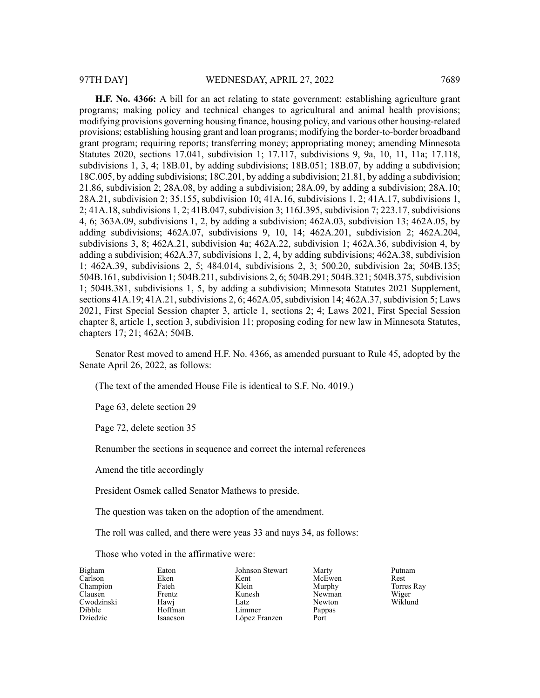**H.F. No. 4366:** A bill for an act relating to state government; establishing agriculture grant programs; making policy and technical changes to agricultural and animal health provisions; modifying provisions governing housing finance, housing policy, and various other housing-related provisions; establishing housing grant and loan programs; modifying the border-to-border broadband grant program; requiring reports; transferring money; appropriating money; amending Minnesota Statutes 2020, sections 17.041, subdivision 1; 17.117, subdivisions 9, 9a, 10, 11, 11a; 17.118, subdivisions 1, 3, 4; 18B.01, by adding subdivisions; 18B.051; 18B.07, by adding a subdivision; 18C.005, by adding subdivisions; 18C.201, by adding a subdivision; 21.81, by adding a subdivision; 21.86, subdivision 2; 28A.08, by adding a subdivision; 28A.09, by adding a subdivision; 28A.10; 28A.21, subdivision 2; 35.155, subdivision 10; 41A.16, subdivisions 1, 2; 41A.17, subdivisions 1, 2; 41A.18, subdivisions 1, 2; 41B.047, subdivision 3; 116J.395, subdivision 7; 223.17, subdivisions 4, 6; 363A.09, subdivisions 1, 2, by adding a subdivision; 462A.03, subdivision 13; 462A.05, by adding subdivisions; 462A.07, subdivisions 9, 10, 14; 462A.201, subdivision 2; 462A.204, subdivisions 3, 8; 462A.21, subdivision 4a; 462A.22, subdivision 1; 462A.36, subdivision 4, by adding a subdivision; 462A.37, subdivisions 1, 2, 4, by adding subdivisions; 462A.38, subdivision 1; 462A.39, subdivisions 2, 5; 484.014, subdivisions 2, 3; 500.20, subdivision 2a; 504B.135; 504B.161, subdivision 1; 504B.211, subdivisions 2, 6; 504B.291; 504B.321; 504B.375, subdivision 1; 504B.381, subdivisions 1, 5, by adding a subdivision; Minnesota Statutes 2021 Supplement, sections 41A.19; 41A.21, subdivisions 2, 6; 462A.05, subdivision 14; 462A.37, subdivision 5; Laws

2021, First Special Session chapter 3, article 1, sections 2; 4; Laws 2021, First Special Session chapter 8, article 1, section 3, subdivision 11; proposing coding for new law in Minnesota Statutes, chapters 17; 21; 462A; 504B.

Senator Rest moved to amend H.F. No. 4366, as amended pursuant to Rule 45, adopted by the Senate April 26, 2022, as follows:

(The text of the amended House File is identical to S.F. No. 4019.)

Page 63, delete section 29

Page 72, delete section 35

Renumber the sections in sequence and correct the internal references

Amend the title accordingly

President Osmek called Senator Mathews to preside.

The question was taken on the adoption of the amendment.

The roll was called, and there were yeas 33 and nays 34, as follows:

Those who voted in the affirmative were:

| Bigham     | Eaton    | Johnson Stewart | Marty  | Putnam     |
|------------|----------|-----------------|--------|------------|
| Carlson    | Eken     | Kent            | McEwen | Rest       |
| Champion   | Fateh    | Klein           | Murphy | Torres Ray |
| Clausen    | Frentz   | Kunesh          | Newman | Wiger      |
| Cwodzinski | Hawj     | Latz            | Newton | Wiklund    |
| Dibble     | Hoffman  | Limmer          | Pappas |            |
| Dziedzic   | Isaacson | López Franzen   | Port   |            |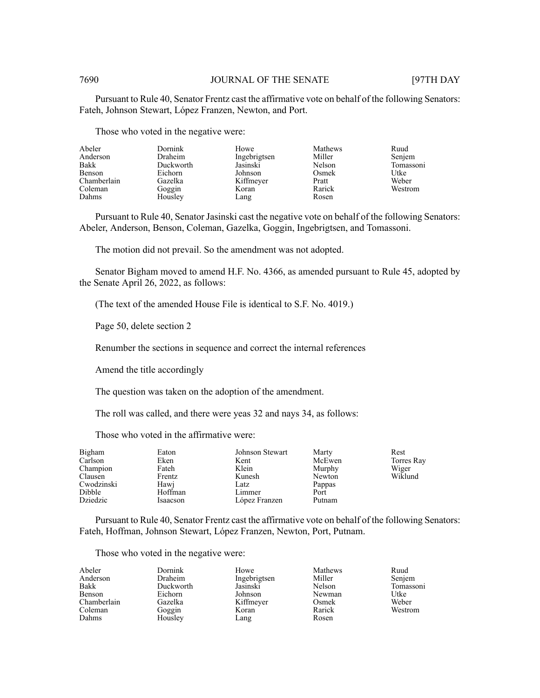Pursuant to Rule 40, Senator Frentz cast the affirmative vote on behalf of the following Senators: Fateh, Johnson Stewart, López Franzen, Newton, and Port.

Those who voted in the negative were:

| Abeler<br>Anderson<br>Bakk<br>Benson<br>Chamberlain<br>Coleman | Dornink<br>Draheim<br>Duckworth<br>Eichorn<br>Gazelka | Howe<br>Ingebrigtsen<br>Jasinski<br>Johnson<br>Kiffmeyer<br>Koran | Mathews<br>Miller<br>Nelson<br>Osmek<br>Pratt<br>Rarick | Ruud<br>Senjem<br>Tomassoni<br>Utke<br>Weber<br>Westrom |
|----------------------------------------------------------------|-------------------------------------------------------|-------------------------------------------------------------------|---------------------------------------------------------|---------------------------------------------------------|
| Dahms                                                          | Goggin<br>Housley                                     | Lang                                                              | Rosen                                                   |                                                         |

Pursuant to Rule 40, Senator Jasinski cast the negative vote on behalf of the following Senators: Abeler, Anderson, Benson, Coleman, Gazelka, Goggin, Ingebrigtsen, and Tomassoni.

The motion did not prevail. So the amendment was not adopted.

Senator Bigham moved to amend H.F. No. 4366, as amended pursuant to Rule 45, adopted by the Senate April 26, 2022, as follows:

(The text of the amended House File is identical to S.F. No. 4019.)

Page 50, delete section 2

Renumber the sections in sequence and correct the internal references

Amend the title accordingly

The question was taken on the adoption of the amendment.

The roll was called, and there were yeas 32 and nays 34, as follows:

Those who voted in the affirmative were:

| Bigham     | Eaton    | Johnson Stewart | Marty  | Rest       |
|------------|----------|-----------------|--------|------------|
| Carlson    | Eken     | Kent            | McEwen | Torres Ray |
| Champion   | Fateh    | Klein           | Murphy | Wiger      |
| Clausen    | Frentz   | Kunesh          | Newton | Wiklund    |
| Cwodzinski | Hawj     | Latz            | Pappas |            |
| Dibble     | Hoffman  | Limmer          | Port   |            |
| Dziedzic   | Isaacson | López Franzen   | Putnam |            |

Pursuant to Rule 40, Senator Frentz cast the affirmative vote on behalf of the following Senators: Fateh, Hoffman, Johnson Stewart, López Franzen, Newton, Port, Putnam.

#### Those who voted in the negative were:

| Abeler      | Dornink        | Howe         | Mathews | Ruud      |
|-------------|----------------|--------------|---------|-----------|
| Anderson    | <b>Draheim</b> | Ingebrigtsen | Miller  | Senjem    |
| Bakk        | Duckworth      | Jasinski     | Nelson  | Tomassoni |
| Benson      | Eichorn        | Johnson      | Newman  | Utke      |
| Chamberlain | Gazelka        | Kiffmeyer    | Osmek   | Weber     |
| Coleman     | Goggin         | Koran        | Rarick  | Westrom   |
| Dahms       | Housley        | Lang         | Rosen   |           |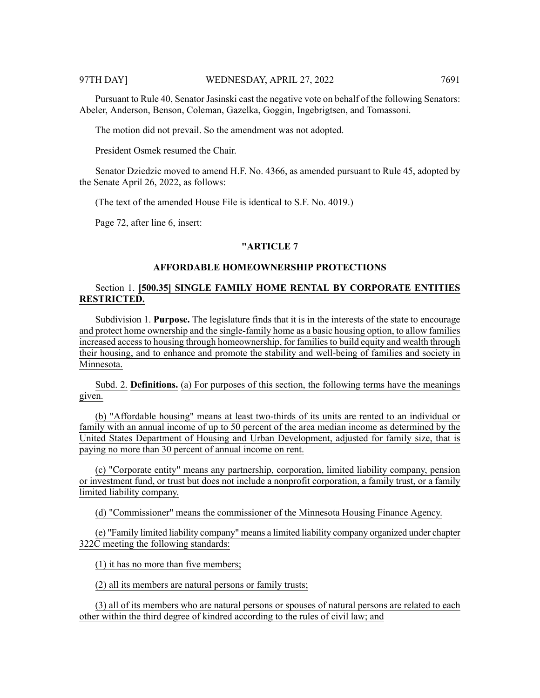Pursuant to Rule 40, Senator Jasinski cast the negative vote on behalf of the following Senators: Abeler, Anderson, Benson, Coleman, Gazelka, Goggin, Ingebrigtsen, and Tomassoni.

The motion did not prevail. So the amendment was not adopted.

President Osmek resumed the Chair.

Senator Dziedzic moved to amend H.F. No. 4366, as amended pursuant to Rule 45, adopted by the Senate April 26, 2022, as follows:

(The text of the amended House File is identical to S.F. No. 4019.)

Page 72, after line 6, insert:

#### **"ARTICLE 7**

### **AFFORDABLE HOMEOWNERSHIP PROTECTIONS**

# Section 1. **[500.35] SINGLE FAMILY HOME RENTAL BY CORPORATE ENTITIES RESTRICTED.**

Subdivision 1. **Purpose.** The legislature finds that it is in the interests of the state to encourage and protect home ownership and the single-family home as a basic housing option, to allow families increased access to housing through homeownership, for families to build equity and wealth through their housing, and to enhance and promote the stability and well-being of families and society in Minnesota.

Subd. 2. **Definitions.** (a) For purposes of this section, the following terms have the meanings given.

(b) "Affordable housing" means at least two-thirds of its units are rented to an individual or family with an annual income of up to 50 percent of the area median income as determined by the United States Department of Housing and Urban Development, adjusted for family size, that is paying no more than 30 percent of annual income on rent.

(c) "Corporate entity" means any partnership, corporation, limited liability company, pension or investment fund, or trust but does not include a nonprofit corporation, a family trust, or a family limited liability company.

(d) "Commissioner" means the commissioner of the Minnesota Housing Finance Agency.

(e) "Family limited liability company" means a limited liability company organized under chapter 322C meeting the following standards:

(1) it has no more than five members;

(2) all its members are natural persons or family trusts;

(3) all of its members who are natural persons or spouses of natural persons are related to each other within the third degree of kindred according to the rules of civil law; and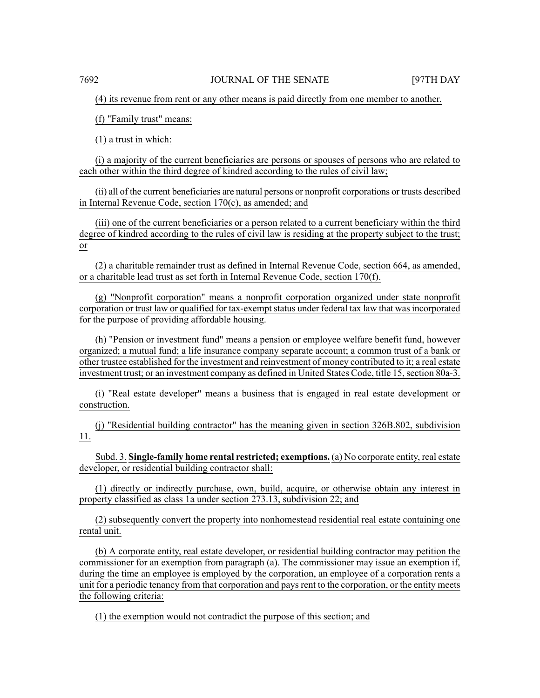(4) its revenue from rent or any other means is paid directly from one member to another.

(f) "Family trust" means:

(1) a trust in which:

(i) a majority of the current beneficiaries are persons or spouses of persons who are related to each other within the third degree of kindred according to the rules of civil law;

(ii) all of the current beneficiaries are natural persons or nonprofit corporations or trusts described in Internal Revenue Code, section 170(c), as amended; and

(iii) one of the current beneficiaries or a person related to a current beneficiary within the third degree of kindred according to the rules of civil law is residing at the property subject to the trust; or

(2) a charitable remainder trust as defined in Internal Revenue Code, section 664, as amended, or a charitable lead trust as set forth in Internal Revenue Code, section 170(f).

(g) "Nonprofit corporation" means a nonprofit corporation organized under state nonprofit corporation or trust law or qualified for tax-exempt status under federal tax law that was incorporated for the purpose of providing affordable housing.

(h) "Pension or investment fund" means a pension or employee welfare benefit fund, however organized; a mutual fund; a life insurance company separate account; a common trust of a bank or other trustee established for the investment and reinvestment of money contributed to it; a real estate investment trust; or an investment company as defined in United States Code, title 15, section 80a-3.

(i) "Real estate developer" means a business that is engaged in real estate development or construction.

(j) "Residential building contractor" has the meaning given in section 326B.802, subdivision 11.

Subd. 3. **Single-family home rental restricted; exemptions.** (a) No corporate entity, real estate developer, or residential building contractor shall:

(1) directly or indirectly purchase, own, build, acquire, or otherwise obtain any interest in property classified as class 1a under section 273.13, subdivision 22; and

(2) subsequently convert the property into nonhomestead residential real estate containing one rental unit.

(b) A corporate entity, real estate developer, or residential building contractor may petition the commissioner for an exemption from paragraph (a). The commissioner may issue an exemption if, during the time an employee is employed by the corporation, an employee of a corporation rents a unit for a periodic tenancy from that corporation and pays rent to the corporation, or the entity meets the following criteria:

(1) the exemption would not contradict the purpose of this section; and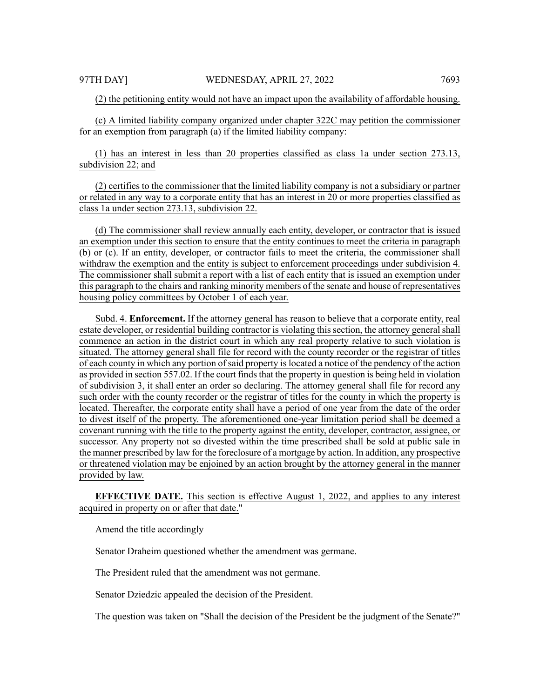(2) the petitioning entity would not have an impact upon the availability of affordable housing.

(c) A limited liability company organized under chapter 322C may petition the commissioner for an exemption from paragraph (a) if the limited liability company:

(1) has an interest in less than 20 properties classified as class 1a under section 273.13, subdivision 22; and

(2) certifies to the commissioner that the limited liability company is not a subsidiary or partner or related in any way to a corporate entity that has an interest in 20 or more properties classified as class 1a under section 273.13, subdivision 22.

(d) The commissioner shall review annually each entity, developer, or contractor that is issued an exemption under this section to ensure that the entity continues to meet the criteria in paragraph (b) or (c). If an entity, developer, or contractor fails to meet the criteria, the commissioner shall withdraw the exemption and the entity is subject to enforcement proceedings under subdivision 4. The commissioner shall submit a report with a list of each entity that is issued an exemption under this paragraph to the chairs and ranking minority members of the senate and house of representatives housing policy committees by October 1 of each year.

Subd. 4. **Enforcement.** If the attorney general has reason to believe that a corporate entity, real estate developer, or residential building contractor is violating this section, the attorney general shall commence an action in the district court in which any real property relative to such violation is situated. The attorney general shall file for record with the county recorder or the registrar of titles of each county in which any portion of said property is located a notice of the pendency of the action as provided in section 557.02. If the court finds that the property in question is being held in violation of subdivision 3, it shall enter an order so declaring. The attorney general shall file for record any such order with the county recorder or the registrar of titles for the county in which the property is located. Thereafter, the corporate entity shall have a period of one year from the date of the order to divest itself of the property. The aforementioned one-year limitation period shall be deemed a covenant running with the title to the property against the entity, developer, contractor, assignee, or successor. Any property not so divested within the time prescribed shall be sold at public sale in the manner prescribed by law for the foreclosure of a mortgage by action. In addition, any prospective or threatened violation may be enjoined by an action brought by the attorney general in the manner provided by law.

**EFFECTIVE DATE.** This section is effective August 1, 2022, and applies to any interest acquired in property on or after that date."

Amend the title accordingly

Senator Draheim questioned whether the amendment was germane.

The President ruled that the amendment was not germane.

Senator Dziedzic appealed the decision of the President.

The question was taken on "Shall the decision of the President be the judgment of the Senate?"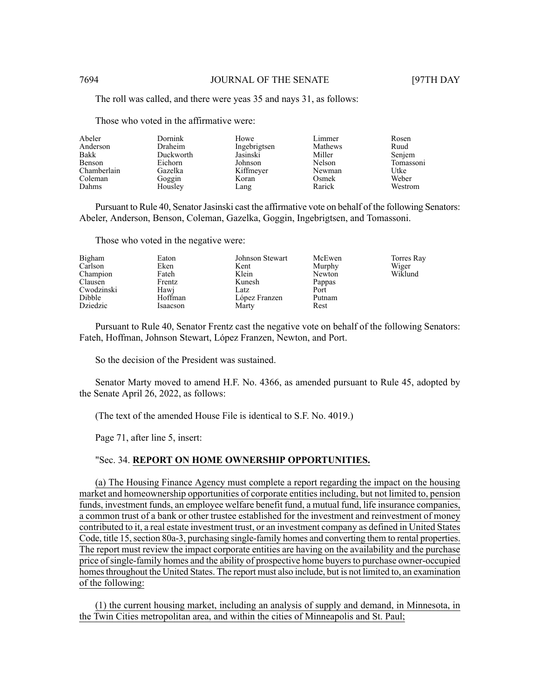The roll was called, and there were yeas 35 and nays 31, as follows:

Those who voted in the affirmative were:

| Abeler      | <b>Dornink</b> | Howe         | Limmer  | Rosen     |
|-------------|----------------|--------------|---------|-----------|
| Anderson    | <b>Draheim</b> | Ingebrigtsen | Mathews | Ruud      |
| Bakk        | Duckworth      | Jasinski     | Miller  | Senjem    |
| Benson      | Eichorn        | Johnson      | Nelson  | Tomassoni |
| Chamberlain | Gazelka        | Kiffmeyer    | Newman  | Utke      |
| Coleman     | Goggin         | Koran        | Osmek   | Weber     |
| Dahms       | Housley        | Lang         | Rarick  | Westrom   |

Pursuant to Rule 40, Senator Jasinski cast the affirmative vote on behalf of the following Senators: Abeler, Anderson, Benson, Coleman, Gazelka, Goggin, Ingebrigtsen, and Tomassoni.

Those who voted in the negative were:

| Bigham     | Eaton    | Johnson Stewart | McEwen | Torres Ray |
|------------|----------|-----------------|--------|------------|
| Carlson    | Eken     | Kent            | Murphy | Wiger      |
| Champion   | Fateh    | Klein           | Newton | Wiklund    |
| Clausen    | Frentz   | Kunesh          | Pappas |            |
| Cwodzinski | Hawi     | Latz            | Port   |            |
| Dibble     | Hoffman  | López Franzen   | Putnam |            |
| Dziedzic   | Isaacson | Marty           | Rest   |            |

Pursuant to Rule 40, Senator Frentz cast the negative vote on behalf of the following Senators: Fateh, Hoffman, Johnson Stewart, López Franzen, Newton, and Port.

So the decision of the President was sustained.

Senator Marty moved to amend H.F. No. 4366, as amended pursuant to Rule 45, adopted by the Senate April 26, 2022, as follows:

(The text of the amended House File is identical to S.F. No. 4019.)

Page 71, after line 5, insert:

# "Sec. 34. **REPORT ON HOME OWNERSHIP OPPORTUNITIES.**

(a) The Housing Finance Agency must complete a report regarding the impact on the housing market and homeownership opportunities of corporate entities including, but not limited to, pension funds, investment funds, an employee welfare benefit fund, a mutual fund, life insurance companies, a common trust of a bank or other trustee established for the investment and reinvestment of money contributed to it, a real estate investment trust, or an investment company as defined in United States Code, title 15, section 80a-3, purchasing single-family homes and converting them to rental properties. The report must review the impact corporate entities are having on the availability and the purchase price ofsingle-family homes and the ability of prospective home buyersto purchase owner-occupied homes throughout the United States. The report must also include, but is not limited to, an examination of the following:

(1) the current housing market, including an analysis of supply and demand, in Minnesota, in the Twin Cities metropolitan area, and within the cities of Minneapolis and St. Paul;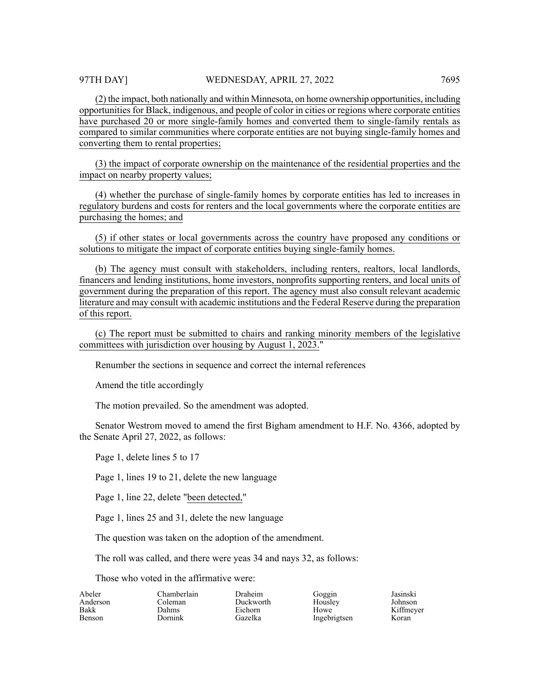(2) the impact, both nationally and within Minnesota, on home ownership opportunities, including opportunities for Black, indigenous, and people of color in cities or regions where corporate entities have purchased 20 or more single-family homes and converted them to single-family rentals as compared to similar communities where corporate entities are not buying single-family homes and converting them to rental properties;

(3) the impact of corporate ownership on the maintenance of the residential properties and the impact on nearby property values;

(4) whether the purchase of single-family homes by corporate entities has led to increases in regulatory burdens and costs for renters and the local governments where the corporate entities are purchasing the homes; and

(5) if other states or local governments across the country have proposed any conditions or solutions to mitigate the impact of corporate entities buying single-family homes.

(b) The agency must consult with stakeholders, including renters, realtors, local landlords, financers and lending institutions, home investors, nonprofits supporting renters, and local units of government during the preparation of this report. The agency must also consult relevant academic literature and may consult with academic institutions and the Federal Reserve during the preparation of this report.

(c) The report must be submitted to chairs and ranking minority members of the legislative committees with jurisdiction over housing by August 1, 2023."

Renumber the sections in sequence and correct the internal references

Amend the title accordingly

The motion prevailed. So the amendment was adopted.

Senator Westrom moved to amend the first Bigham amendment to H.F. No. 4366, adopted by the Senate April 27, 2022, as follows:

Page 1, delete lines 5 to 17

Page 1, lines 19 to 21, delete the new language

Page 1, line 22, delete "been detected,"

Page 1, lines 25 and 31, delete the new language

The question was taken on the adoption of the amendment.

The roll was called, and there were yeas 34 and nays 32, as follows:

Draheim Duckworth Eichorn Gazelka

Those who voted in the affirmative were:

| Abeler        |
|---------------|
| Anderson      |
| <b>Bakk</b>   |
| <b>Benson</b> |

Chamberlain Coleman Dahms Dornink

Goggin Housley Howe Ingebrigtsen Jasinski Johnson Kiffmeyer Koran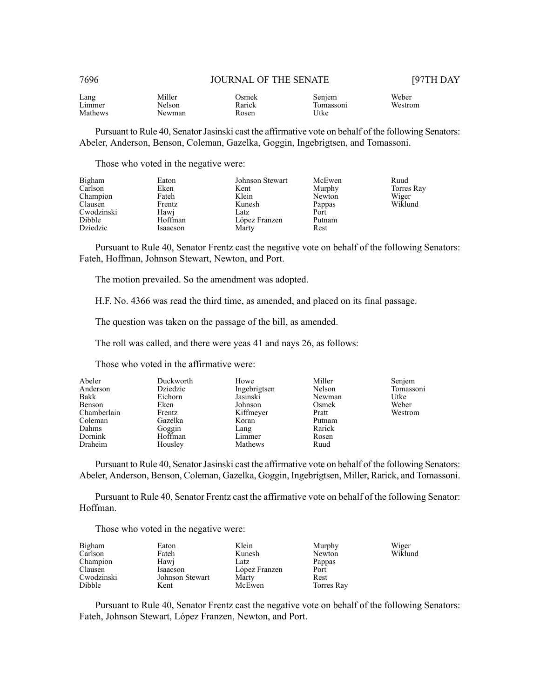#### 7696 JOURNAL OF THE SENATE [97TH DAY

| Lang    | Miller | )smek  | Senjem   | Weber   |
|---------|--------|--------|----------|---------|
| Limmer  | Nelson | Rarick | omasson1 | Westrom |
| Mathews | Newman | Rosen  | Jtke     |         |

Pursuant to Rule 40, Senator Jasinski cast the affirmative vote on behalf of the following Senators: Abeler, Anderson, Benson, Coleman, Gazelka, Goggin, Ingebrigtsen, and Tomassoni.

Those who voted in the negative were:

| Bigham<br>Carlson | Eaton<br>Eken | Johnson Stewart<br>Kent | McEwen<br>Murphy | Ruud<br>Torres Ray |
|-------------------|---------------|-------------------------|------------------|--------------------|
| Champion          | Fateh         | Klein                   | Newton           | Wiger              |
| Clausen           | Frentz        | Kunesh                  | Pappas           | Wiklund            |
| Cwodzinski        | Hawi          | Latz                    | Port             |                    |
| Dibble            | Hoffman       | López Franzen           | Putnam           |                    |
| Dziedzic          | Isaacson      | Marty                   | Rest             |                    |

Pursuant to Rule 40, Senator Frentz cast the negative vote on behalf of the following Senators: Fateh, Hoffman, Johnson Stewart, Newton, and Port.

The motion prevailed. So the amendment was adopted.

H.F. No. 4366 was read the third time, as amended, and placed on its final passage.

The question was taken on the passage of the bill, as amended.

The roll was called, and there were yeas 41 and nays 26, as follows:

Those who voted in the affirmative were:

| Abeler<br>Anderson | Duckworth<br>Dziedzic | Howe<br>Ingebrigtsen | Miller<br>Nelson | Senjem<br>Tomassoni |
|--------------------|-----------------------|----------------------|------------------|---------------------|
| Bakk               | Eichorn               | Jasinski             | Newman           | Utke                |
| Benson             | Eken                  | Johnson              | Osmek            | Weber               |
| Chamberlain        | Frentz                | Kiffmeyer            | Pratt            | Westrom             |
| Coleman            | Gazelka               | Koran                | Putnam           |                     |
| Dahms              | Goggin                | Lang                 | Rarick           |                     |
| Dornink            | Hoffman               | Limmer               | Rosen            |                     |
| Draheim            | Housley               | Mathews              | Ruud             |                     |

Pursuant to Rule 40, Senator Jasinski cast the affirmative vote on behalf of the following Senators: Abeler, Anderson, Benson, Coleman, Gazelka, Goggin, Ingebrigtsen, Miller, Rarick, and Tomassoni.

Pursuant to Rule 40, Senator Frentz cast the affirmative vote on behalf of the following Senator: Hoffman.

Those who voted in the negative were:

| Bigham     | Eaton           | Klein         | Murphy     | Wiger   |
|------------|-----------------|---------------|------------|---------|
| Carlson    | Fateh           | Kunesh        | Newton     | Wiklund |
| Champion   | Hawi            | Latz          | Pappas     |         |
| Clausen    | Isaacson        | López Franzen | Port       |         |
| Cwodzinski | Johnson Stewart | Marty         | Rest       |         |
| Dibble     | Kent            | McEwen        | Torres Ray |         |

Pursuant to Rule 40, Senator Frentz cast the negative vote on behalf of the following Senators: Fateh, Johnson Stewart, López Franzen, Newton, and Port.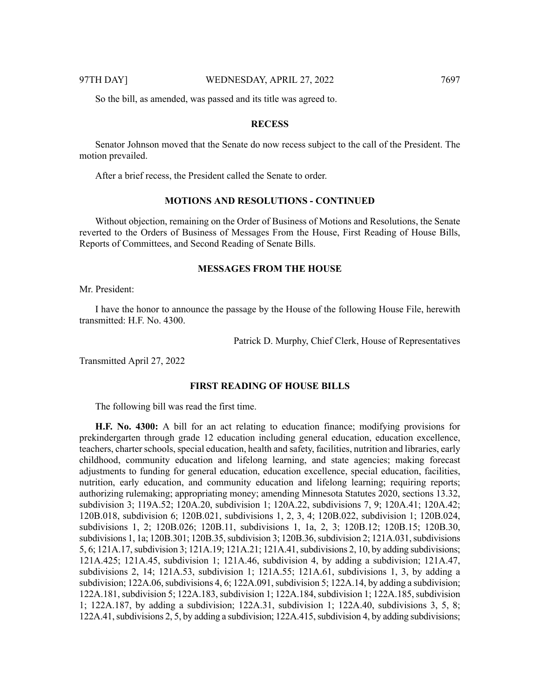So the bill, as amended, was passed and its title was agreed to.

#### **RECESS**

Senator Johnson moved that the Senate do now recess subject to the call of the President. The motion prevailed.

After a brief recess, the President called the Senate to order.

# **MOTIONS AND RESOLUTIONS - CONTINUED**

Without objection, remaining on the Order of Business of Motions and Resolutions, the Senate reverted to the Orders of Business of Messages From the House, First Reading of House Bills, Reports of Committees, and Second Reading of Senate Bills.

#### **MESSAGES FROM THE HOUSE**

Mr. President:

I have the honor to announce the passage by the House of the following House File, herewith transmitted: H.F. No. 4300.

Patrick D. Murphy, Chief Clerk, House of Representatives

Transmitted April 27, 2022

#### **FIRST READING OF HOUSE BILLS**

The following bill was read the first time.

**H.F. No. 4300:** A bill for an act relating to education finance; modifying provisions for prekindergarten through grade 12 education including general education, education excellence, teachers, charter schools, special education, health and safety, facilities, nutrition and libraries, early childhood, community education and lifelong learning, and state agencies; making forecast adjustments to funding for general education, education excellence, special education, facilities, nutrition, early education, and community education and lifelong learning; requiring reports; authorizing rulemaking; appropriating money; amending Minnesota Statutes 2020, sections 13.32, subdivision 3; 119A.52; 120A.20, subdivision 1; 120A.22, subdivisions 7, 9; 120A.41; 120A.42; 120B.018, subdivision 6; 120B.021, subdivisions 1, 2, 3, 4; 120B.022, subdivision 1; 120B.024, subdivisions 1, 2; 120B.026; 120B.11, subdivisions 1, 1a, 2, 3; 120B.12; 120B.15; 120B.30, subdivisions 1, 1a; 120B.301; 120B.35, subdivision 3; 120B.36, subdivision 2; 121A.031, subdivisions 5, 6; 121A.17, subdivision 3; 121A.19; 121A.21; 121A.41, subdivisions 2, 10, by adding subdivisions; 121A.425; 121A.45, subdivision 1; 121A.46, subdivision 4, by adding a subdivision; 121A.47, subdivisions 2, 14; 121A.53, subdivision 1; 121A.55; 121A.61, subdivisions 1, 3, by adding a subdivision;  $122A.06$ , subdivisions 4, 6;  $122A.091$ , subdivision 5;  $122A.14$ , by adding a subdivision; 122A.181, subdivision 5; 122A.183, subdivision 1; 122A.184, subdivision 1; 122A.185, subdivision 1; 122A.187, by adding a subdivision; 122A.31, subdivision 1; 122A.40, subdivisions 3, 5, 8; 122A.41, subdivisions 2, 5, by adding a subdivision; 122A.415, subdivision 4, by adding subdivisions;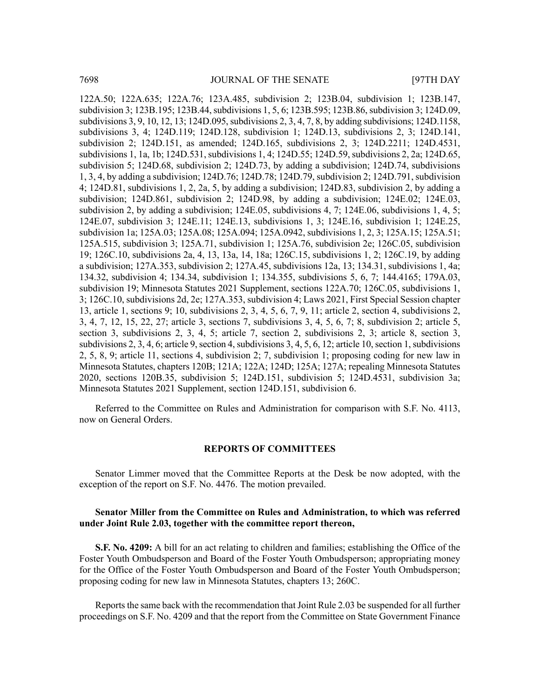122A.50; 122A.635; 122A.76; 123A.485, subdivision 2; 123B.04, subdivision 1; 123B.147, subdivision 3; 123B.195; 123B.44, subdivisions 1, 5, 6; 123B.595; 123B.86, subdivision 3; 124D.09, subdivisions 3, 9, 10, 12, 13; 124D.095, subdivisions 2, 3, 4, 7, 8, by adding subdivisions; 124D.1158, subdivisions 3, 4; 124D.119; 124D.128, subdivision 1; 124D.13, subdivisions 2, 3; 124D.141, subdivision 2; 124D.151, as amended; 124D.165, subdivisions 2, 3; 124D.2211; 124D.4531, subdivisions 1, 1a, 1b; 124D.531, subdivisions 1, 4; 124D.55; 124D.59, subdivisions 2, 2a; 124D.65, subdivision 5; 124D.68, subdivision 2; 124D.73, by adding a subdivision; 124D.74, subdivisions 1, 3, 4, by adding a subdivision; 124D.76; 124D.78; 124D.79, subdivision 2; 124D.791, subdivision 4; 124D.81, subdivisions 1, 2, 2a, 5, by adding a subdivision; 124D.83, subdivision 2, by adding a subdivision; 124D.861, subdivision 2; 124D.98, by adding a subdivision; 124E.02; 124E.03, subdivision 2, by adding a subdivision; 124E.05, subdivisions 4, 7; 124E.06, subdivisions 1, 4, 5; 124E.07, subdivision 3; 124E.11; 124E.13, subdivisions 1, 3; 124E.16, subdivision 1; 124E.25, subdivision 1a; 125A.03; 125A.08; 125A.094; 125A.0942, subdivisions 1, 2, 3; 125A.15; 125A.51; 125A.515, subdivision 3; 125A.71, subdivision 1; 125A.76, subdivision 2e; 126C.05, subdivision 19; 126C.10, subdivisions 2a, 4, 13, 13a, 14, 18a; 126C.15, subdivisions 1, 2; 126C.19, by adding a subdivision; 127A.353, subdivision 2; 127A.45, subdivisions 12a, 13; 134.31, subdivisions 1, 4a; 134.32, subdivision 4; 134.34, subdivision 1; 134.355, subdivisions 5, 6, 7; 144.4165; 179A.03, subdivision 19; Minnesota Statutes 2021 Supplement, sections 122A.70; 126C.05, subdivisions 1, 3; 126C.10, subdivisions 2d, 2e; 127A.353, subdivision 4; Laws 2021, First Special Session chapter 13, article 1, sections 9; 10, subdivisions 2, 3, 4, 5, 6, 7, 9, 11; article 2, section 4, subdivisions 2, 3, 4, 7, 12, 15, 22, 27; article 3, sections 7, subdivisions 3, 4, 5, 6, 7; 8, subdivision 2; article 5, section 3, subdivisions 2, 3, 4, 5; article 7, section 2, subdivisions 2, 3; article 8, section 3, subdivisions 2, 3, 4, 6; article 9, section 4, subdivisions 3, 4, 5, 6, 12; article 10, section 1, subdivisions 2, 5, 8, 9; article 11, sections 4, subdivision 2; 7, subdivision 1; proposing coding for new law in Minnesota Statutes, chapters 120B; 121A; 122A; 124D; 125A; 127A; repealing Minnesota Statutes 2020, sections 120B.35, subdivision 5; 124D.151, subdivision 5; 124D.4531, subdivision 3a; Minnesota Statutes 2021 Supplement, section 124D.151, subdivision 6.

Referred to the Committee on Rules and Administration for comparison with S.F. No. 4113, now on General Orders.

#### **REPORTS OF COMMITTEES**

Senator Limmer moved that the Committee Reports at the Desk be now adopted, with the exception of the report on S.F. No. 4476. The motion prevailed.

### **Senator Miller from the Committee on Rules and Administration, to which was referred under Joint Rule 2.03, together with the committee report thereon,**

**S.F. No. 4209:** A bill for an act relating to children and families; establishing the Office of the Foster Youth Ombudsperson and Board of the Foster Youth Ombudsperson; appropriating money for the Office of the Foster Youth Ombudsperson and Board of the Foster Youth Ombudsperson; proposing coding for new law in Minnesota Statutes, chapters 13; 260C.

Reports the same back with the recommendation that Joint Rule 2.03 be suspended for all further proceedings on S.F. No. 4209 and that the report from the Committee on State Government Finance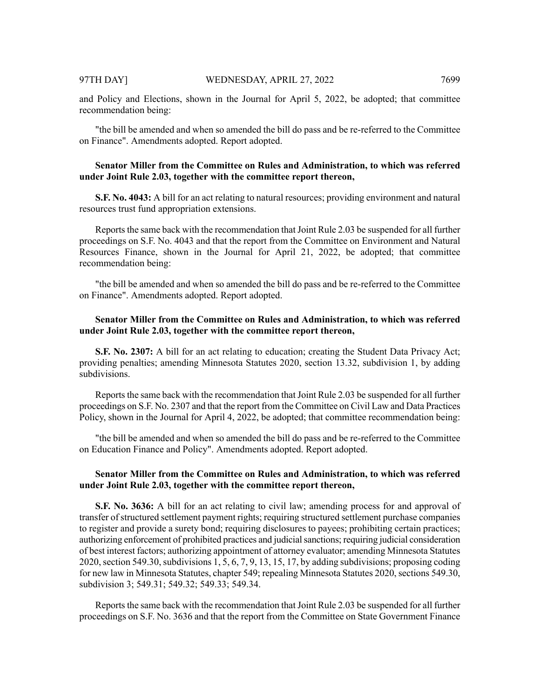and Policy and Elections, shown in the Journal for April 5, 2022, be adopted; that committee recommendation being:

"the bill be amended and when so amended the bill do pass and be re-referred to the Committee on Finance". Amendments adopted. Report adopted.

# **Senator Miller from the Committee on Rules and Administration, to which was referred under Joint Rule 2.03, together with the committee report thereon,**

**S.F. No. 4043:** A bill for an act relating to natural resources; providing environment and natural resources trust fund appropriation extensions.

Reports the same back with the recommendation that Joint Rule 2.03 be suspended for all further proceedings on S.F. No. 4043 and that the report from the Committee on Environment and Natural Resources Finance, shown in the Journal for April 21, 2022, be adopted; that committee recommendation being:

"the bill be amended and when so amended the bill do pass and be re-referred to the Committee on Finance". Amendments adopted. Report adopted.

# **Senator Miller from the Committee on Rules and Administration, to which was referred under Joint Rule 2.03, together with the committee report thereon,**

**S.F. No. 2307:** A bill for an act relating to education; creating the Student Data Privacy Act; providing penalties; amending Minnesota Statutes 2020, section 13.32, subdivision 1, by adding subdivisions.

Reports the same back with the recommendation that Joint Rule 2.03 be suspended for all further proceedings on S.F. No. 2307 and that the report from the Committee on Civil Law and Data Practices Policy, shown in the Journal for April 4, 2022, be adopted; that committee recommendation being:

"the bill be amended and when so amended the bill do pass and be re-referred to the Committee on Education Finance and Policy". Amendments adopted. Report adopted.

# **Senator Miller from the Committee on Rules and Administration, to which was referred under Joint Rule 2.03, together with the committee report thereon,**

**S.F. No. 3636:** A bill for an act relating to civil law; amending process for and approval of transfer of structured settlement payment rights; requiring structured settlement purchase companies to register and provide a surety bond; requiring disclosures to payees; prohibiting certain practices; authorizing enforcement of prohibited practices and judicial sanctions; requiring judicial consideration of best interest factors; authorizing appointment of attorney evaluator; amending Minnesota Statutes 2020, section 549.30, subdivisions  $1, 5, 6, 7, 9, 13, 15, 17$ , by adding subdivisions; proposing coding for new law in Minnesota Statutes, chapter 549; repealing Minnesota Statutes 2020, sections 549.30, subdivision 3; 549.31; 549.32; 549.33; 549.34.

Reports the same back with the recommendation that Joint Rule 2.03 be suspended for all further proceedings on S.F. No. 3636 and that the report from the Committee on State Government Finance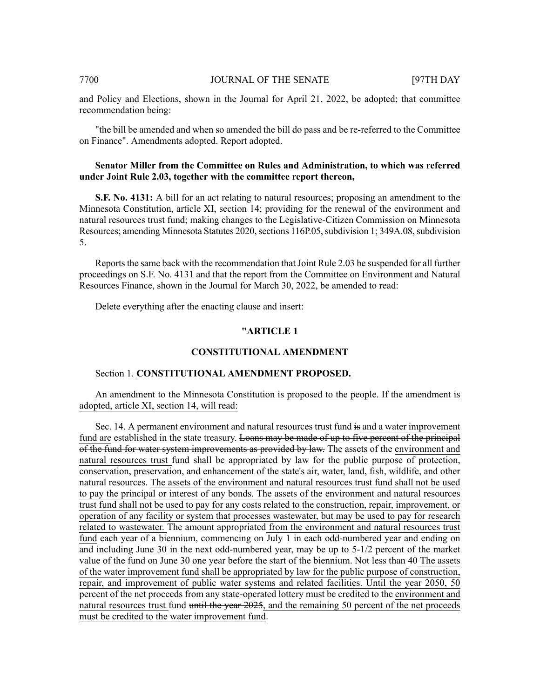and Policy and Elections, shown in the Journal for April 21, 2022, be adopted; that committee recommendation being:

"the bill be amended and when so amended the bill do pass and be re-referred to the Committee on Finance". Amendments adopted. Report adopted.

# **Senator Miller from the Committee on Rules and Administration, to which was referred under Joint Rule 2.03, together with the committee report thereon,**

**S.F. No. 4131:** A bill for an act relating to natural resources; proposing an amendment to the Minnesota Constitution, article XI, section 14; providing for the renewal of the environment and natural resources trust fund; making changes to the Legislative-Citizen Commission on Minnesota Resources; amending Minnesota Statutes 2020, sections 116P.05, subdivision 1; 349A.08, subdivision 5.

Reports the same back with the recommendation that Joint Rule 2.03 be suspended for all further proceedings on S.F. No. 4131 and that the report from the Committee on Environment and Natural Resources Finance, shown in the Journal for March 30, 2022, be amended to read:

Delete everything after the enacting clause and insert:

# **"ARTICLE 1**

#### **CONSTITUTIONAL AMENDMENT**

#### Section 1. **CONSTITUTIONAL AMENDMENT PROPOSED.**

# An amendment to the Minnesota Constitution is proposed to the people. If the amendment is adopted, article XI, section 14, will read:

Sec. 14. A permanent environment and natural resources trust fund is and a water improvement fund are established in the state treasury. Loans may be made of up to five percent of the principal of the fund for water system improvements as provided by law. The assets of the environment and natural resources trust fund shall be appropriated by law for the public purpose of protection, conservation, preservation, and enhancement of the state's air, water, land, fish, wildlife, and other natural resources. The assets of the environment and natural resources trust fund shall not be used to pay the principal or interest of any bonds. The assets of the environment and natural resources trust fund shall not be used to pay for any costs related to the construction, repair, improvement, or operation of any facility or system that processes wastewater, but may be used to pay for research related to wastewater. The amount appropriated from the environment and natural resources trust fund each year of a biennium, commencing on July 1 in each odd-numbered year and ending on and including June 30 in the next odd-numbered year, may be up to 5-1/2 percent of the market value of the fund on June 30 one year before the start of the biennium. Not less than 40 The assets of the water improvement fund shall be appropriated by law for the public purpose of construction, repair, and improvement of public water systems and related facilities. Until the year 2050, 50 percent of the net proceeds from any state-operated lottery must be credited to the environment and natural resources trust fund until the year 2025, and the remaining 50 percent of the net proceeds must be credited to the water improvement fund.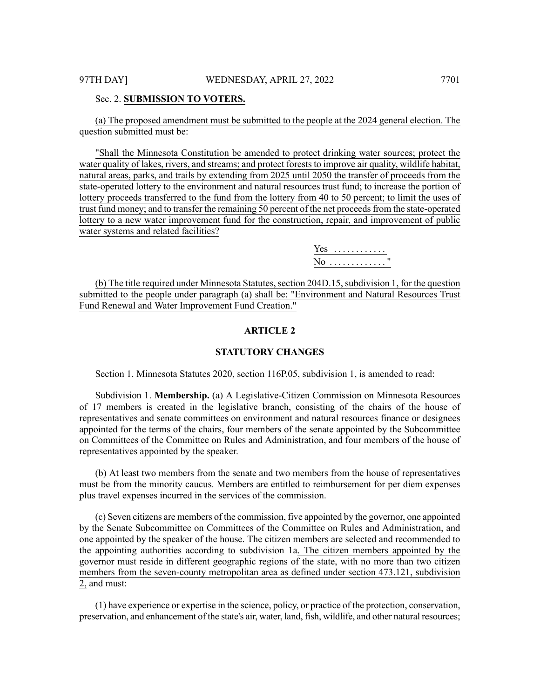#### Sec. 2. **SUBMISSION TO VOTERS.**

(a) The proposed amendment must be submitted to the people at the 2024 general election. The question submitted must be:

"Shall the Minnesota Constitution be amended to protect drinking water sources; protect the water quality of lakes, rivers, and streams; and protect forests to improve air quality, wildlife habitat, natural areas, parks, and trails by extending from 2025 until 2050 the transfer of proceeds from the state-operated lottery to the environment and natural resources trust fund; to increase the portion of lottery proceeds transferred to the fund from the lottery from 40 to 50 percent; to limit the uses of trust fund money; and to transfer the remaining 50 percent of the net proceeds from the state-operated lottery to a new water improvement fund for the construction, repair, and improvement of public water systems and related facilities?

> Yes . . . . . . . . . . . . No . . . . . . . . . . . . . "

(b) The title required under Minnesota Statutes, section 204D.15, subdivision 1, for the question submitted to the people under paragraph (a) shall be: "Environment and Natural Resources Trust Fund Renewal and Water Improvement Fund Creation."

### **ARTICLE 2**

#### **STATUTORY CHANGES**

Section 1. Minnesota Statutes 2020, section 116P.05, subdivision 1, is amended to read:

Subdivision 1. **Membership.** (a) A Legislative-Citizen Commission on Minnesota Resources of 17 members is created in the legislative branch, consisting of the chairs of the house of representatives and senate committees on environment and natural resources finance or designees appointed for the terms of the chairs, four members of the senate appointed by the Subcommittee on Committees of the Committee on Rules and Administration, and four members of the house of representatives appointed by the speaker.

(b) At least two members from the senate and two members from the house of representatives must be from the minority caucus. Members are entitled to reimbursement for per diem expenses plus travel expenses incurred in the services of the commission.

(c) Seven citizens are members of the commission, five appointed by the governor, one appointed by the Senate Subcommittee on Committees of the Committee on Rules and Administration, and one appointed by the speaker of the house. The citizen members are selected and recommended to the appointing authorities according to subdivision 1a. The citizen members appointed by the governor must reside in different geographic regions of the state, with no more than two citizen members from the seven-county metropolitan area as defined under section 473.121, subdivision 2, and must:

(1) have experience or expertise in the science, policy, or practice of the protection, conservation, preservation, and enhancement of the state's air, water, land, fish, wildlife, and other natural resources;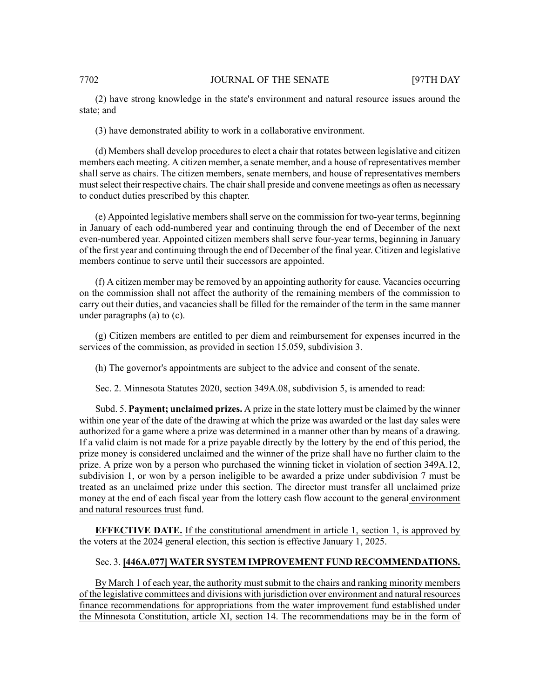#### 7702 JOURNAL OF THE SENATE [97TH DAY

(2) have strong knowledge in the state's environment and natural resource issues around the state; and

(3) have demonstrated ability to work in a collaborative environment.

(d) Membersshall develop proceduresto elect a chair that rotates between legislative and citizen members each meeting. A citizen member, a senate member, and a house of representatives member shall serve as chairs. The citizen members, senate members, and house of representatives members must select their respective chairs. The chair shall preside and convene meetings as often as necessary to conduct duties prescribed by this chapter.

(e) Appointed legislative membersshallserve on the commission for two-year terms, beginning in January of each odd-numbered year and continuing through the end of December of the next even-numbered year. Appointed citizen members shall serve four-year terms, beginning in January of the first year and continuing through the end of December of the final year. Citizen and legislative members continue to serve until their successors are appointed.

(f) A citizen member may be removed by an appointing authority for cause. Vacancies occurring on the commission shall not affect the authority of the remaining members of the commission to carry out their duties, and vacancies shall be filled for the remainder of the term in the same manner under paragraphs (a) to (c).

(g) Citizen members are entitled to per diem and reimbursement for expenses incurred in the services of the commission, as provided in section 15.059, subdivision 3.

(h) The governor's appointments are subject to the advice and consent of the senate.

Sec. 2. Minnesota Statutes 2020, section 349A.08, subdivision 5, is amended to read:

Subd. 5. **Payment; unclaimed prizes.** A prize in the state lottery must be claimed by the winner within one year of the date of the drawing at which the prize was awarded or the last day sales were authorized for a game where a prize was determined in a manner other than by means of a drawing. If a valid claim is not made for a prize payable directly by the lottery by the end of this period, the prize money is considered unclaimed and the winner of the prize shall have no further claim to the prize. A prize won by a person who purchased the winning ticket in violation of section 349A.12, subdivision 1, or won by a person ineligible to be awarded a prize under subdivision 7 must be treated as an unclaimed prize under this section. The director must transfer all unclaimed prize money at the end of each fiscal year from the lottery cash flow account to the general environment and natural resources trust fund.

**EFFECTIVE DATE.** If the constitutional amendment in article 1, section 1, is approved by the voters at the 2024 general election, this section is effective January 1, 2025.

# Sec. 3. **[446A.077] WATER SYSTEM IMPROVEMENT FUND RECOMMENDATIONS.**

By March 1 of each year, the authority must submit to the chairs and ranking minority members of the legislative committees and divisions with jurisdiction over environment and natural resources finance recommendations for appropriations from the water improvement fund established under the Minnesota Constitution, article XI, section 14. The recommendations may be in the form of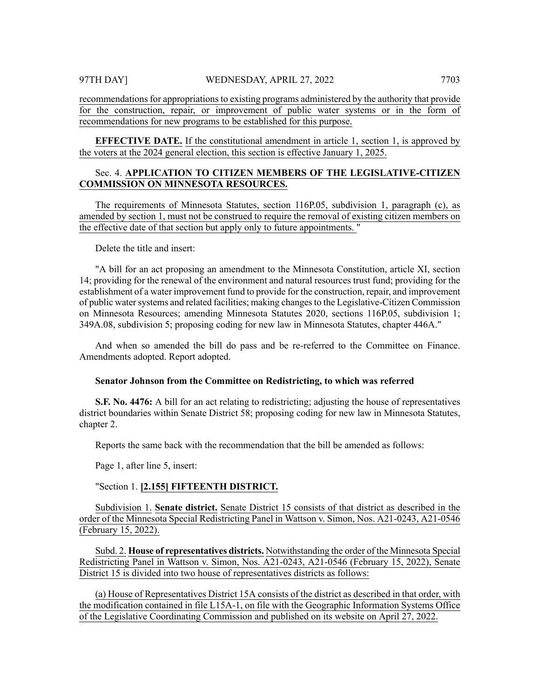recommendations for appropriations to existing programs administered by the authority that provide for the construction, repair, or improvement of public water systems or in the form of recommendations for new programs to be established for this purpose.

**EFFECTIVE DATE.** If the constitutional amendment in article 1, section 1, is approved by the voters at the 2024 general election, this section is effective January 1, 2025.

# Sec. 4. **APPLICATION TO CITIZEN MEMBERS OF THE LEGISLATIVE-CITIZEN COMMISSION ON MINNESOTA RESOURCES.**

The requirements of Minnesota Statutes, section 116P.05, subdivision 1, paragraph (c), as amended by section 1, must not be construed to require the removal of existing citizen members on the effective date of that section but apply only to future appointments. "

Delete the title and insert:

"A bill for an act proposing an amendment to the Minnesota Constitution, article XI, section 14; providing for the renewal of the environment and natural resources trust fund; providing for the establishment of a water improvement fund to provide for the construction, repair, and improvement of public watersystems and related facilities; making changesto the Legislative-Citizen Commission on Minnesota Resources; amending Minnesota Statutes 2020, sections 116P.05, subdivision 1; 349A.08, subdivision 5; proposing coding for new law in Minnesota Statutes, chapter 446A."

And when so amended the bill do pass and be re-referred to the Committee on Finance. Amendments adopted. Report adopted.

#### **Senator Johnson from the Committee on Redistricting, to which was referred**

**S.F. No. 4476:** A bill for an act relating to redistricting; adjusting the house of representatives district boundaries within Senate District 58; proposing coding for new law in Minnesota Statutes, chapter 2.

Reports the same back with the recommendation that the bill be amended as follows:

Page 1, after line 5, insert:

# "Section 1. **[2.155] FIFTEENTH DISTRICT.**

Subdivision 1. **Senate district.** Senate District 15 consists of that district as described in the order of the Minnesota Special Redistricting Panel in Wattson v. Simon, Nos. A21-0243, A21-0546 (February 15, 2022).

Subd. 2. **House of representatives districts.** Notwithstanding the order of the Minnesota Special Redistricting Panel in Wattson v. Simon, Nos. A21-0243, A21-0546 (February 15, 2022), Senate District 15 is divided into two house of representatives districts as follows:

(a) House of Representatives District 15A consists of the district as described in that order, with the modification contained in file L15A-1, on file with the Geographic Information Systems Office of the Legislative Coordinating Commission and published on its website on April 27, 2022.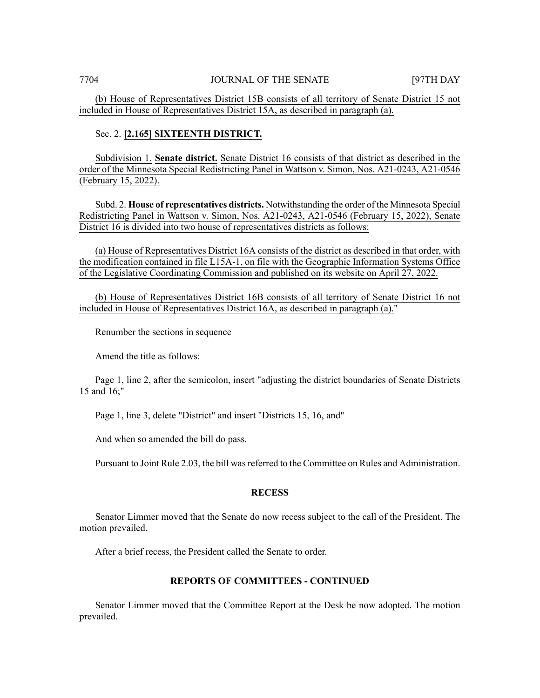(b) House of Representatives District 15B consists of all territory of Senate District 15 not included in House of Representatives District 15A, as described in paragraph (a).

### Sec. 2. **[2.165] SIXTEENTH DISTRICT.**

Subdivision 1. **Senate district.** Senate District 16 consists of that district as described in the order of the Minnesota Special Redistricting Panel in Wattson v. Simon, Nos. A21-0243, A21-0546 (February 15, 2022).

Subd. 2. **House of representatives districts.** Notwithstanding the order of the Minnesota Special Redistricting Panel in Wattson v. Simon, Nos. A21-0243, A21-0546 (February 15, 2022), Senate District 16 is divided into two house of representatives districts as follows:

(a) House of Representatives District 16A consists of the district as described in that order, with the modification contained in file L15A-1, on file with the Geographic Information Systems Office of the Legislative Coordinating Commission and published on its website on April 27, 2022.

(b) House of Representatives District 16B consists of all territory of Senate District 16 not included in House of Representatives District 16A, as described in paragraph (a)."

Renumber the sections in sequence

Amend the title as follows:

Page 1, line 2, after the semicolon, insert "adjusting the district boundaries of Senate Districts 15 and 16;"

Page 1, line 3, delete "District" and insert "Districts 15, 16, and"

And when so amended the bill do pass.

Pursuant to Joint Rule 2.03, the bill wasreferred to the Committee on Rules and Administration.

#### **RECESS**

Senator Limmer moved that the Senate do now recess subject to the call of the President. The motion prevailed.

After a brief recess, the President called the Senate to order.

# **REPORTS OF COMMITTEES - CONTINUED**

Senator Limmer moved that the Committee Report at the Desk be now adopted. The motion prevailed.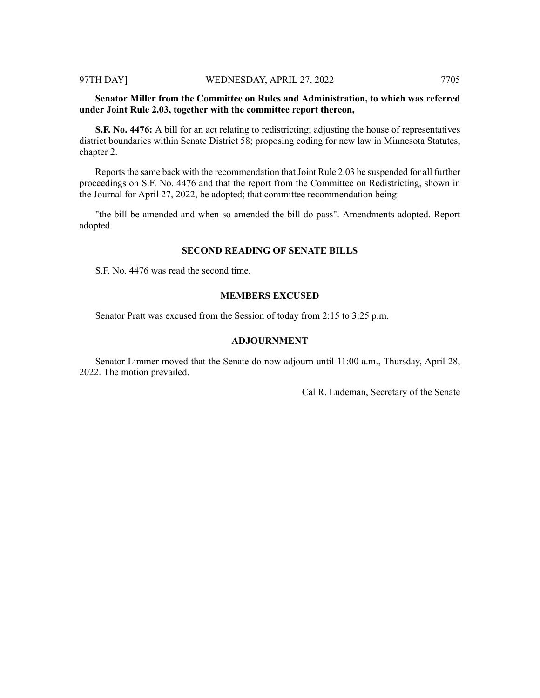# **Senator Miller from the Committee on Rules and Administration, to which was referred under Joint Rule 2.03, together with the committee report thereon,**

**S.F. No. 4476:** A bill for an act relating to redistricting; adjusting the house of representatives district boundaries within Senate District 58; proposing coding for new law in Minnesota Statutes, chapter 2.

Reports the same back with the recommendation that Joint Rule 2.03 be suspended for all further proceedings on S.F. No. 4476 and that the report from the Committee on Redistricting, shown in the Journal for April 27, 2022, be adopted; that committee recommendation being:

"the bill be amended and when so amended the bill do pass". Amendments adopted. Report adopted.

# **SECOND READING OF SENATE BILLS**

S.F. No. 4476 was read the second time.

# **MEMBERS EXCUSED**

Senator Pratt was excused from the Session of today from 2:15 to 3:25 p.m.

# **ADJOURNMENT**

Senator Limmer moved that the Senate do now adjourn until 11:00 a.m., Thursday, April 28, 2022. The motion prevailed.

Cal R. Ludeman, Secretary of the Senate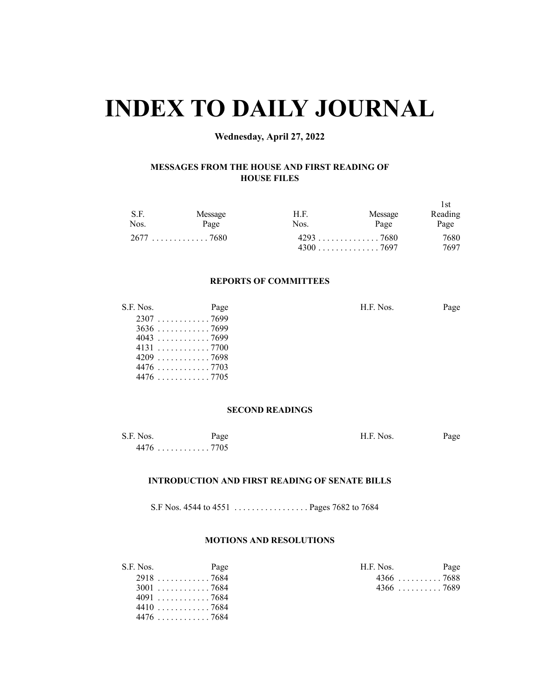# **INDEX TO DAILY JOURNAL**

# **Wednesday, April 27, 2022**

# **MESSAGES FROM THE HOUSE AND FIRST READING OF HOUSE FILES**

| S.F.<br>Nos. | Message<br>Page | H.F.<br>Nos. | Message<br>Page | 1st<br>Reading<br>Page |
|--------------|-----------------|--------------|-----------------|------------------------|
|              | $2677$ 7680     |              |                 | 7680                   |
|              |                 |              |                 | 7697                   |

# **REPORTS OF COMMITTEES**

| S.F. Nos.   | Page | H.F. Nos. | Page |
|-------------|------|-----------|------|
| $2307$ 7699 |      |           |      |
| $3636$ 7699 |      |           |      |
| $4043$ 7699 |      |           |      |
| 41317700    |      |           |      |
| $4209$ 7698 |      |           |      |
|             |      |           |      |
|             |      |           |      |
|             |      |           |      |

# **SECOND READINGS**

| S.F. Nos.      | Page | H.F. Nos. | Page |
|----------------|------|-----------|------|
| 4476<br>. 7705 |      |           |      |

# **INTRODUCTION AND FIRST READING OF SENATE BILLS**

S.F Nos. 4544 to 4551 . . . . . . . . . . . . . . . . . Pages 7682 to 7684

# **MOTIONS AND RESOLUTIONS**

| S.F. Nos. | Page        | H.F. Nos.   | Page |
|-----------|-------------|-------------|------|
|           | $2918$ 7684 | $4366$ 7688 |      |
|           | $3001$ 7684 | $4366$ 7689 |      |
|           | 4091 7684   |             |      |
|           | $4410$ 7684 |             |      |
|           | 44767684    |             |      |